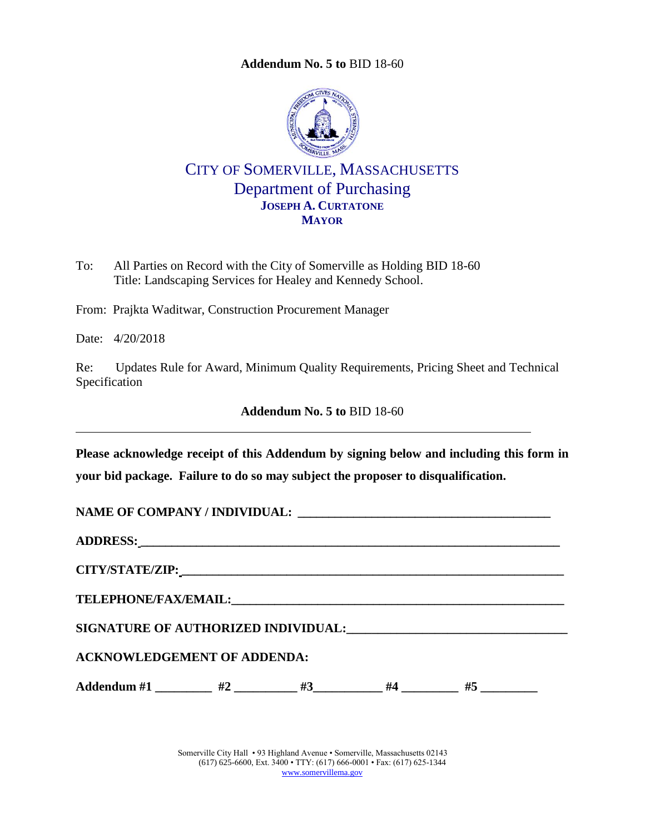<span id="page-0-0"></span>

CITY OF SOMERVILLE, MASSACHUSETTS Department of Purchasing **JOSEPH A. CURTATONE MAYOR**

To: All Parties on Record with the City of Somerville as Holding BID 18-60 Title: Landscaping Services for Healey and Kennedy School.

From: Prajkta Waditwar, Construction Procurement Manager

Date: 4/20/2018

Re: Updates Rule for Award, Minimum Quality Requirements, Pricing Sheet and Technical Specification

**Addendum No. 5 to** [BID 18-60](#page-0-0)

**Please acknowledge receipt of this Addendum by signing below and including this form in your bid package. Failure to do so may subject the proposer to disqualification.**

| ADDRESS: North Contract of the Contract of the Contract of the Contract of the Contract of the Contract of the Contract of the Contract of the Contract of the Contract of the Contract of the Contract of the Contract of the |  |  |  |  |  |  |
|--------------------------------------------------------------------------------------------------------------------------------------------------------------------------------------------------------------------------------|--|--|--|--|--|--|
|                                                                                                                                                                                                                                |  |  |  |  |  |  |
|                                                                                                                                                                                                                                |  |  |  |  |  |  |
|                                                                                                                                                                                                                                |  |  |  |  |  |  |
| <b>ACKNOWLEDGEMENT OF ADDENDA:</b>                                                                                                                                                                                             |  |  |  |  |  |  |
| Addendum #1 $#2$ $#3$ $#4$ $#5$                                                                                                                                                                                                |  |  |  |  |  |  |

Somerville City Hall • 93 Highland Avenue • Somerville, Massachusetts 02143 (617) 625-6600, Ext. 3400 • TTY: (617) 666-0001 • Fax: (617) 625-1344 [www.somervillema.gov](http://www.somervillema.gov/)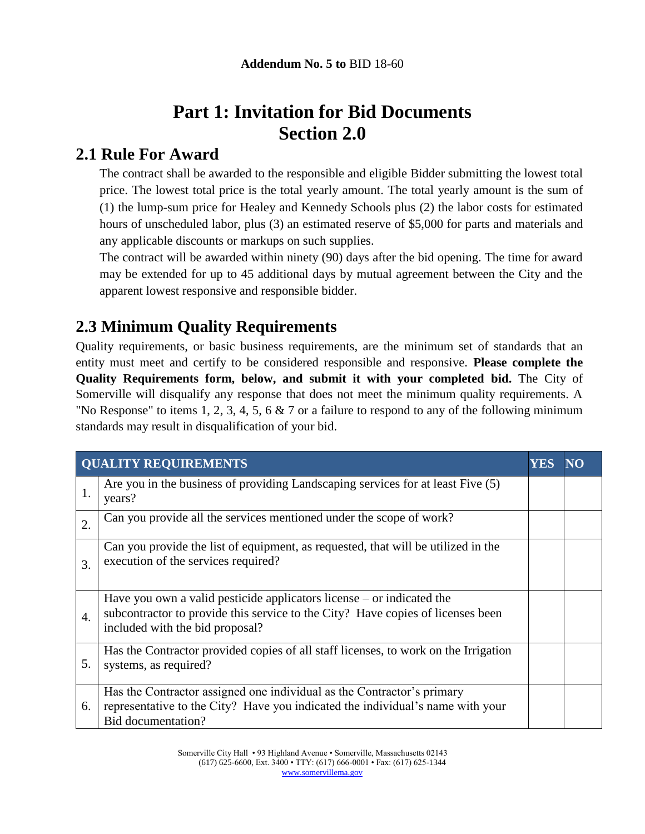# **Part 1: Invitation for Bid Documents Section 2.0**

## **2.1 Rule For Award**

The contract shall be awarded to the responsible and eligible Bidder submitting the lowest total price. The lowest total price is the total yearly amount. The total yearly amount is the sum of (1) the lump-sum price for Healey and Kennedy Schools plus (2) the labor costs for estimated hours of unscheduled labor, plus (3) an estimated reserve of \$5,000 for parts and materials and any applicable discounts or markups on such supplies.

The contract will be awarded within ninety (90) days after the bid opening. The time for award may be extended for up to 45 additional days by mutual agreement between the City and the apparent lowest responsive and responsible bidder.

## **2.3 Minimum Quality Requirements**

Quality requirements, or basic business requirements, are the minimum set of standards that an entity must meet and certify to be considered responsible and responsive. **Please complete the Quality Requirements form, below, and submit it with your completed bid.** The City of Somerville will disqualify any response that does not meet the minimum quality requirements. A "No Response" to items 1, 2, 3, 4, 5, 6  $\&$  7 or a failure to respond to any of the following minimum standards may result in disqualification of your bid.

|    | <b>QUALITY REQUIREMENTS</b>                                                                                                                                                                   | YES |  |
|----|-----------------------------------------------------------------------------------------------------------------------------------------------------------------------------------------------|-----|--|
| 1. | Are you in the business of providing Landscaping services for at least Five (5)<br>years?                                                                                                     |     |  |
| 2. | Can you provide all the services mentioned under the scope of work?                                                                                                                           |     |  |
| 3. | Can you provide the list of equipment, as requested, that will be utilized in the<br>execution of the services required?                                                                      |     |  |
| 4. | Have you own a valid pesticide applicators license $-$ or indicated the<br>subcontractor to provide this service to the City? Have copies of licenses been<br>included with the bid proposal? |     |  |
| 5. | Has the Contractor provided copies of all staff licenses, to work on the Irrigation<br>systems, as required?                                                                                  |     |  |
| 6. | Has the Contractor assigned one individual as the Contractor's primary<br>representative to the City? Have you indicated the individual's name with your<br>Bid documentation?                |     |  |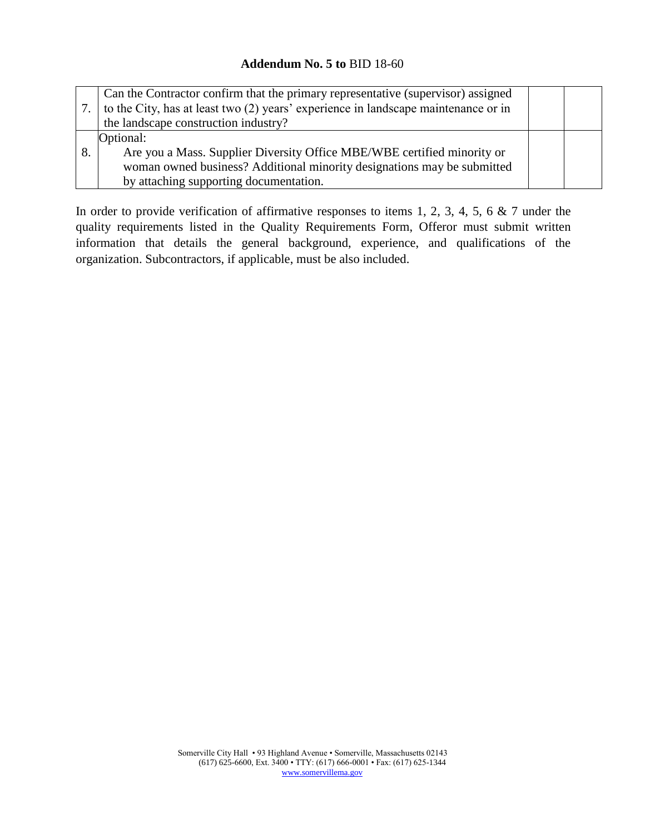|    | Can the Contractor confirm that the primary representative (supervisor) assigned<br>to the City, has at least two (2) years' experience in landscape maintenance or in<br>the landscape construction industry? |  |
|----|----------------------------------------------------------------------------------------------------------------------------------------------------------------------------------------------------------------|--|
|    | Optional:                                                                                                                                                                                                      |  |
| 8. | Are you a Mass. Supplier Diversity Office MBE/WBE certified minority or                                                                                                                                        |  |
|    | woman owned business? Additional minority designations may be submitted                                                                                                                                        |  |
|    | by attaching supporting documentation.                                                                                                                                                                         |  |

In order to provide verification of affirmative responses to items 1, 2, 3, 4, 5, 6  $\&$  7 under the quality requirements listed in the Quality Requirements Form, Offeror must submit written information that details the general background, experience, and qualifications of the organization. Subcontractors, if applicable, must be also included.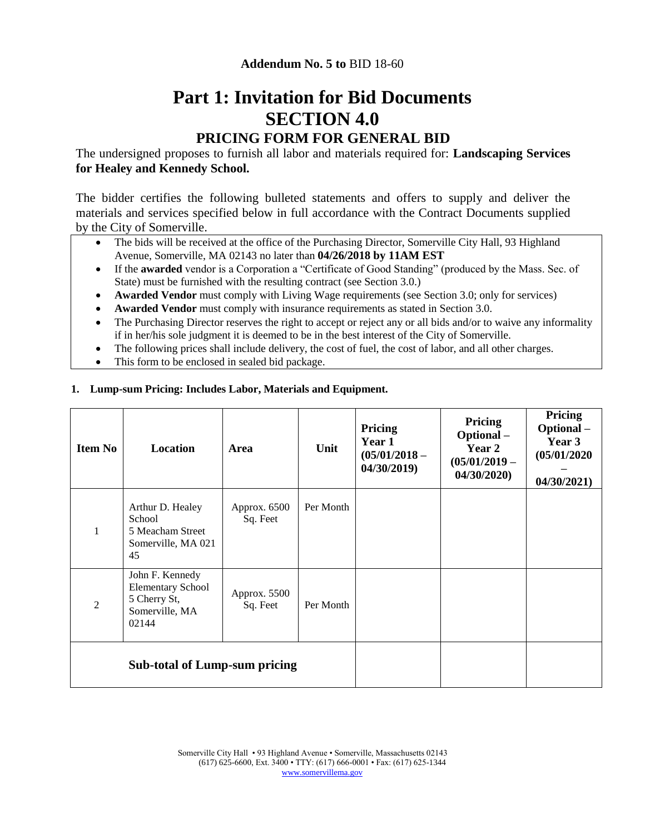# **Part 1: Invitation for Bid Documents SECTION 4.0**

## **PRICING FORM FOR GENERAL BID**

The undersigned proposes to furnish all labor and materials required for: **Landscaping Services for Healey and Kennedy School.**

The bidder certifies the following bulleted statements and offers to supply and deliver the materials and services specified below in full accordance with the Contract Documents supplied by the City of Somerville.

- The bids will be received at the office of the Purchasing Director, Somerville City Hall, 93 Highland Avenue, Somerville, MA 02143 no later than **04/26/2018 by 11AM EST**
- If the **awarded** vendor is a Corporation a "Certificate of Good Standing" (produced by the Mass. Sec. of State) must be furnished with the resulting contract (see Section 3.0.)
- **Awarded Vendor** must comply with Living Wage requirements (see Section 3.0; only for services)
- **Awarded Vendor** must comply with insurance requirements as stated in Section 3.0.
- The Purchasing Director reserves the right to accept or reject any or all bids and/or to waive any informality if in her/his sole judgment it is deemed to be in the best interest of the City of Somerville.
- The following prices shall include delivery, the cost of fuel, the cost of labor, and all other charges.
- This form to be enclosed in sealed bid package.

#### **1. Lump-sum Pricing: Includes Labor, Materials and Equipment.**

| <b>Item No</b>                       | Location                                                                               | Area                     | Unit      | Pricing<br>Year 1<br>$(05/01/2018 -$<br>04/30/2019 | Pricing<br>Optional-<br><b>Year 2</b><br>$(05/01/2019 -$<br>04/30/2020 | Pricing<br>Optional-<br>Year 3<br>(05/01/2020)<br>04/30/2021 |
|--------------------------------------|----------------------------------------------------------------------------------------|--------------------------|-----------|----------------------------------------------------|------------------------------------------------------------------------|--------------------------------------------------------------|
| $\mathbf{1}$                         | Arthur D. Healey<br>School<br>5 Meacham Street<br>Somerville, MA 021<br>45             | Approx. 6500<br>Sq. Feet | Per Month |                                                    |                                                                        |                                                              |
| 2                                    | John F. Kennedy<br><b>Elementary School</b><br>5 Cherry St,<br>Somerville, MA<br>02144 | Approx. 5500<br>Sq. Feet | Per Month |                                                    |                                                                        |                                                              |
| <b>Sub-total of Lump-sum pricing</b> |                                                                                        |                          |           |                                                    |                                                                        |                                                              |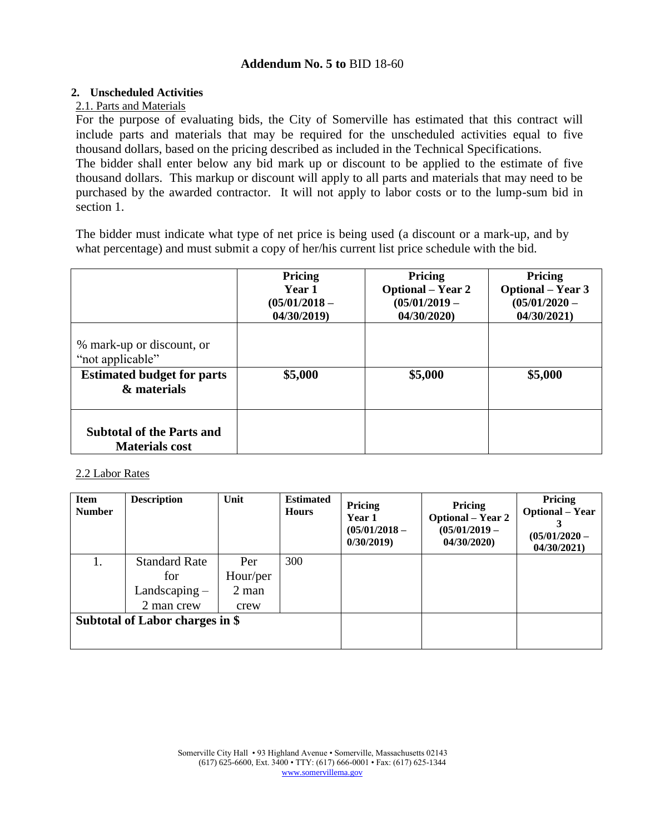### **2. Unscheduled Activities**

## 2.1. Parts and Materials

For the purpose of evaluating bids, the City of Somerville has estimated that this contract will include parts and materials that may be required for the unscheduled activities equal to five thousand dollars, based on the pricing described as included in the Technical Specifications.

The bidder shall enter below any bid mark up or discount to be applied to the estimate of five thousand dollars. This markup or discount will apply to all parts and materials that may need to be purchased by the awarded contractor. It will not apply to labor costs or to the lump-sum bid in section 1.

The bidder must indicate what type of net price is being used (a discount or a mark-up, and by what percentage) and must submit a copy of her/his current list price schedule with the bid.

|                                                                                                   | Pricing<br>Year 1<br>$(05/01/2018 -$<br>04/30/2019) | Pricing<br><b>Optional</b> – Year 2<br>$(05/01/2019 -$<br>04/30/2020) | Pricing<br><b>Optional</b> – Year 3<br>$(05/01/2020 -$<br>04/30/2021) |
|---------------------------------------------------------------------------------------------------|-----------------------------------------------------|-----------------------------------------------------------------------|-----------------------------------------------------------------------|
| % mark-up or discount, or<br>"not applicable"<br><b>Estimated budget for parts</b><br>& materials | \$5,000                                             | \$5,000                                                               | \$5,000                                                               |
| <b>Subtotal of the Parts and</b><br><b>Materials cost</b>                                         |                                                     |                                                                       |                                                                       |

#### 2.2 Labor Rates

| <b>Item</b><br><b>Number</b>    | <b>Description</b>   | Unit     | <b>Estimated</b><br><b>Hours</b> | Pricing<br>Year 1<br>$(05/01/2018 -$<br>0/30/2019 | Pricing<br><b>Optional</b> – Year 2<br>$(05/01/2019 -$<br>04/30/2020 | Pricing<br><b>Optional</b> – Year<br>$(05/01/2020 -$<br>04/30/2021 |
|---------------------------------|----------------------|----------|----------------------------------|---------------------------------------------------|----------------------------------------------------------------------|--------------------------------------------------------------------|
|                                 | <b>Standard Rate</b> | Per      | 300                              |                                                   |                                                                      |                                                                    |
|                                 | for                  | Hour/per |                                  |                                                   |                                                                      |                                                                    |
|                                 | Landscaping $-$      | $2$ man  |                                  |                                                   |                                                                      |                                                                    |
|                                 | 2 man crew           | crew     |                                  |                                                   |                                                                      |                                                                    |
| Subtotal of Labor charges in \$ |                      |          |                                  |                                                   |                                                                      |                                                                    |
|                                 |                      |          |                                  |                                                   |                                                                      |                                                                    |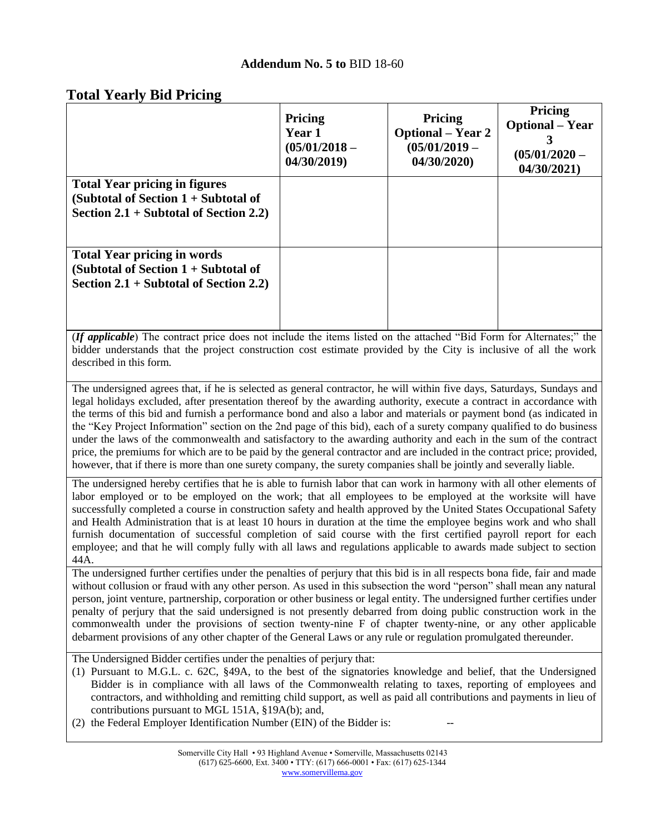## **Total Yearly Bid Pricing**

|                                                                                                                            | <b>Pricing</b><br><b>Year 1</b><br>$(05/01/2018 -$<br>04/30/2019 | <b>Pricing</b><br><b>Optional</b> – Year 2<br>$(05/01/2019 -$<br>04/30/2020 | <b>Pricing</b><br><b>Optional</b> – Year<br>3<br>$(05/01/2020 -$<br>04/30/2021) |
|----------------------------------------------------------------------------------------------------------------------------|------------------------------------------------------------------|-----------------------------------------------------------------------------|---------------------------------------------------------------------------------|
| <b>Total Year pricing in figures</b><br>(Subtotal of Section $1 +$ Subtotal of<br>Section $2.1 +$ Subtotal of Section 2.2) |                                                                  |                                                                             |                                                                                 |
| <b>Total Year pricing in words</b><br>(Subtotal of Section $1 +$ Subtotal of<br>Section $2.1 +$ Subtotal of Section 2.2)   |                                                                  |                                                                             |                                                                                 |

(*If applicable*) The contract price does not include the items listed on the attached "Bid Form for Alternates;" the bidder understands that the project construction cost estimate provided by the City is inclusive of all the work described in this form.

The undersigned agrees that, if he is selected as general contractor, he will within five days, Saturdays, Sundays and legal holidays excluded, after presentation thereof by the awarding authority, execute a contract in accordance with the terms of this bid and furnish a performance bond and also a labor and materials or payment bond (as indicated in the "Key Project Information" section on the 2nd page of this bid), each of a surety company qualified to do business under the laws of the commonwealth and satisfactory to the awarding authority and each in the sum of the contract price, the premiums for which are to be paid by the general contractor and are included in the contract price; provided, however, that if there is more than one surety company, the surety companies shall be jointly and severally liable.

The undersigned hereby certifies that he is able to furnish labor that can work in harmony with all other elements of labor employed or to be employed on the work; that all employees to be employed at the worksite will have successfully completed a course in construction safety and health approved by the United States Occupational Safety and Health Administration that is at least 10 hours in duration at the time the employee begins work and who shall furnish documentation of successful completion of said course with the first certified payroll report for each employee; and that he will comply fully with all laws and regulations applicable to awards made subject to section 44A.

The undersigned further certifies under the penalties of perjury that this bid is in all respects bona fide, fair and made without collusion or fraud with any other person. As used in this subsection the word "person" shall mean any natural person, joint venture, partnership, corporation or other business or legal entity. The undersigned further certifies under penalty of perjury that the said undersigned is not presently debarred from doing public construction work in the commonwealth under the provisions of section twenty-nine F of chapter twenty-nine, or any other applicable debarment provisions of any other chapter of the General Laws or any rule or regulation promulgated thereunder.

The Undersigned Bidder certifies under the penalties of perjury that:

- (1) Pursuant to M.G.L. c. 62C, §49A, to the best of the signatories knowledge and belief, that the Undersigned Bidder is in compliance with all laws of the Commonwealth relating to taxes, reporting of employees and contractors, and withholding and remitting child support, as well as paid all contributions and payments in lieu of contributions pursuant to MGL 151A, §19A(b); and,
- $(2)$  the Federal Employer Identification Number (EIN) of the Bidder is: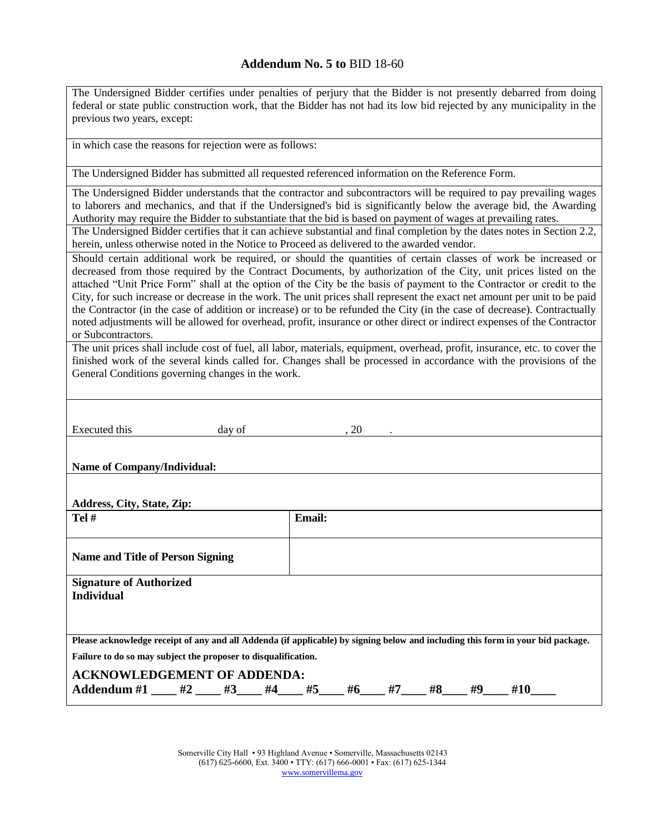| The Undersigned Bidder certifies under penalties of perjury that the Bidder is not presently debarred from doing<br>federal or state public construction work, that the Bidder has not had its low bid rejected by any municipality in the<br>previous two years, except:                                                                                                                                                                                                                                                                                                                                                                                                                                                                                                                                                                                                                                                                                                                                                                                                                                                                                                                                                                                                                                                                  |  |  |  |  |  |  |
|--------------------------------------------------------------------------------------------------------------------------------------------------------------------------------------------------------------------------------------------------------------------------------------------------------------------------------------------------------------------------------------------------------------------------------------------------------------------------------------------------------------------------------------------------------------------------------------------------------------------------------------------------------------------------------------------------------------------------------------------------------------------------------------------------------------------------------------------------------------------------------------------------------------------------------------------------------------------------------------------------------------------------------------------------------------------------------------------------------------------------------------------------------------------------------------------------------------------------------------------------------------------------------------------------------------------------------------------|--|--|--|--|--|--|
| in which case the reasons for rejection were as follows:                                                                                                                                                                                                                                                                                                                                                                                                                                                                                                                                                                                                                                                                                                                                                                                                                                                                                                                                                                                                                                                                                                                                                                                                                                                                                   |  |  |  |  |  |  |
| The Undersigned Bidder has submitted all requested referenced information on the Reference Form.                                                                                                                                                                                                                                                                                                                                                                                                                                                                                                                                                                                                                                                                                                                                                                                                                                                                                                                                                                                                                                                                                                                                                                                                                                           |  |  |  |  |  |  |
| The Undersigned Bidder understands that the contractor and subcontractors will be required to pay prevailing wages<br>to laborers and mechanics, and that if the Undersigned's bid is significantly below the average bid, the Awarding<br>Authority may require the Bidder to substantiate that the bid is based on payment of wages at prevailing rates.<br>The Undersigned Bidder certifies that it can achieve substantial and final completion by the dates notes in Section 2.2,<br>herein, unless otherwise noted in the Notice to Proceed as delivered to the awarded vendor.<br>Should certain additional work be required, or should the quantities of certain classes of work be increased or<br>decreased from those required by the Contract Documents, by authorization of the City, unit prices listed on the<br>attached "Unit Price Form" shall at the option of the City be the basis of payment to the Contractor or credit to the<br>City, for such increase or decrease in the work. The unit prices shall represent the exact net amount per unit to be paid<br>the Contractor (in the case of addition or increase) or to be refunded the City (in the case of decrease). Contractually<br>noted adjustments will be allowed for overhead, profit, insurance or other direct or indirect expenses of the Contractor |  |  |  |  |  |  |
| or Subcontractors.<br>The unit prices shall include cost of fuel, all labor, materials, equipment, overhead, profit, insurance, etc. to cover the<br>finished work of the several kinds called for. Changes shall be processed in accordance with the provisions of the<br>General Conditions governing changes in the work.                                                                                                                                                                                                                                                                                                                                                                                                                                                                                                                                                                                                                                                                                                                                                                                                                                                                                                                                                                                                               |  |  |  |  |  |  |
| <b>Executed</b> this<br>day of<br>, 20                                                                                                                                                                                                                                                                                                                                                                                                                                                                                                                                                                                                                                                                                                                                                                                                                                                                                                                                                                                                                                                                                                                                                                                                                                                                                                     |  |  |  |  |  |  |
| <b>Name of Company/Individual:</b>                                                                                                                                                                                                                                                                                                                                                                                                                                                                                                                                                                                                                                                                                                                                                                                                                                                                                                                                                                                                                                                                                                                                                                                                                                                                                                         |  |  |  |  |  |  |
| Address, City, State, Zip:                                                                                                                                                                                                                                                                                                                                                                                                                                                                                                                                                                                                                                                                                                                                                                                                                                                                                                                                                                                                                                                                                                                                                                                                                                                                                                                 |  |  |  |  |  |  |
| Tel #<br>Email:                                                                                                                                                                                                                                                                                                                                                                                                                                                                                                                                                                                                                                                                                                                                                                                                                                                                                                                                                                                                                                                                                                                                                                                                                                                                                                                            |  |  |  |  |  |  |
| <b>Name and Title of Person Signing</b>                                                                                                                                                                                                                                                                                                                                                                                                                                                                                                                                                                                                                                                                                                                                                                                                                                                                                                                                                                                                                                                                                                                                                                                                                                                                                                    |  |  |  |  |  |  |
| <b>Signature of Authorized</b><br><b>Individual</b>                                                                                                                                                                                                                                                                                                                                                                                                                                                                                                                                                                                                                                                                                                                                                                                                                                                                                                                                                                                                                                                                                                                                                                                                                                                                                        |  |  |  |  |  |  |
| Please acknowledge receipt of any and all Addenda (if applicable) by signing below and including this form in your bid package.                                                                                                                                                                                                                                                                                                                                                                                                                                                                                                                                                                                                                                                                                                                                                                                                                                                                                                                                                                                                                                                                                                                                                                                                            |  |  |  |  |  |  |
| Failure to do so may subject the proposer to disqualification.                                                                                                                                                                                                                                                                                                                                                                                                                                                                                                                                                                                                                                                                                                                                                                                                                                                                                                                                                                                                                                                                                                                                                                                                                                                                             |  |  |  |  |  |  |
| <b>ACKNOWLEDGEMENT OF ADDENDA:</b><br>Addendum #1 ____ #2 ____ #3____ #4____ #5____ #6____ #7____ #8____ #9____ #10____                                                                                                                                                                                                                                                                                                                                                                                                                                                                                                                                                                                                                                                                                                                                                                                                                                                                                                                                                                                                                                                                                                                                                                                                                    |  |  |  |  |  |  |

Somerville City Hall • 93 Highland Avenue • Somerville, Massachusetts 02143 (617) 625-6600, Ext. 3400 • TTY: (617) 666-0001 • Fax: (617) 625-1344 [www.somervillema.gov](http://www.somervillema.gov/)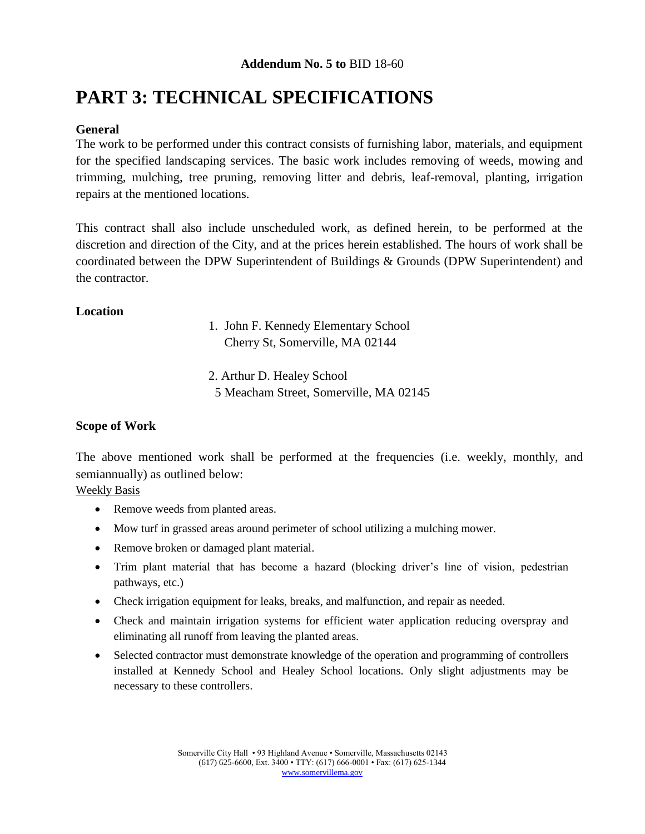# **PART 3: TECHNICAL SPECIFICATIONS**

## **General**

The work to be performed under this contract consists of furnishing labor, materials, and equipment for the specified landscaping services. The basic work includes removing of weeds, mowing and trimming, mulching, tree pruning, removing litter and debris, leaf-removal, planting, irrigation repairs at the mentioned locations.

This contract shall also include unscheduled work, as defined herein, to be performed at the discretion and direction of the City, and at the prices herein established. The hours of work shall be coordinated between the DPW Superintendent of Buildings & Grounds (DPW Superintendent) and the contractor.

## **Location**

1. John F. Kennedy Elementary School Cherry St, Somerville, MA 02144

2. Arthur D. Healey School 5 Meacham Street, Somerville, MA 02145

## **Scope of Work**

The above mentioned work shall be performed at the frequencies (i.e. weekly, monthly, and semiannually) as outlined below:

Weekly Basis

- Remove weeds from planted areas.
- Mow turf in grassed areas around perimeter of school utilizing a mulching mower.
- Remove broken or damaged plant material.
- Trim plant material that has become a hazard (blocking driver's line of vision, pedestrian pathways, etc.)
- Check irrigation equipment for leaks, breaks, and malfunction, and repair as needed.
- Check and maintain irrigation systems for efficient water application reducing overspray and eliminating all runoff from leaving the planted areas.
- Selected contractor must demonstrate knowledge of the operation and programming of controllers installed at Kennedy School and Healey School locations. Only slight adjustments may be necessary to these controllers.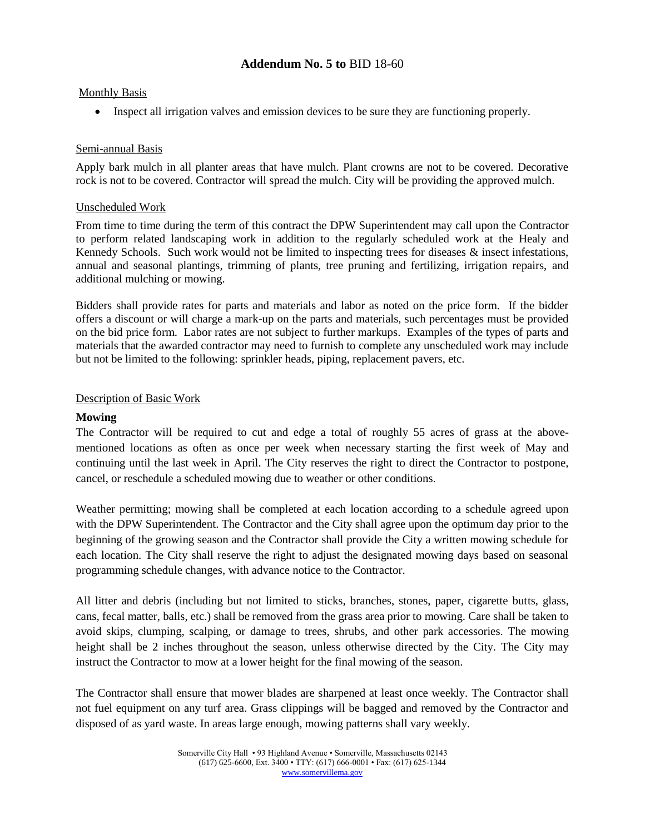#### Monthly Basis

• Inspect all irrigation valves and emission devices to be sure they are functioning properly.

#### Semi-annual Basis

Apply bark mulch in all planter areas that have mulch. Plant crowns are not to be covered. Decorative rock is not to be covered. Contractor will spread the mulch. City will be providing the approved mulch.

#### Unscheduled Work

From time to time during the term of this contract the DPW Superintendent may call upon the Contractor to perform related landscaping work in addition to the regularly scheduled work at the Healy and Kennedy Schools. Such work would not be limited to inspecting trees for diseases  $\&$  insect infestations, annual and seasonal plantings, trimming of plants, tree pruning and fertilizing, irrigation repairs, and additional mulching or mowing.

Bidders shall provide rates for parts and materials and labor as noted on the price form. If the bidder offers a discount or will charge a mark-up on the parts and materials, such percentages must be provided on the bid price form. Labor rates are not subject to further markups. Examples of the types of parts and materials that the awarded contractor may need to furnish to complete any unscheduled work may include but not be limited to the following: sprinkler heads, piping, replacement pavers, etc.

#### Description of Basic Work

#### **Mowing**

The Contractor will be required to cut and edge a total of roughly 55 acres of grass at the abovementioned locations as often as once per week when necessary starting the first week of May and continuing until the last week in April. The City reserves the right to direct the Contractor to postpone, cancel, or reschedule a scheduled mowing due to weather or other conditions.

Weather permitting; mowing shall be completed at each location according to a schedule agreed upon with the DPW Superintendent. The Contractor and the City shall agree upon the optimum day prior to the beginning of the growing season and the Contractor shall provide the City a written mowing schedule for each location. The City shall reserve the right to adjust the designated mowing days based on seasonal programming schedule changes, with advance notice to the Contractor.

All litter and debris (including but not limited to sticks, branches, stones, paper, cigarette butts, glass, cans, fecal matter, balls, etc.) shall be removed from the grass area prior to mowing. Care shall be taken to avoid skips, clumping, scalping, or damage to trees, shrubs, and other park accessories. The mowing height shall be 2 inches throughout the season, unless otherwise directed by the City. The City may instruct the Contractor to mow at a lower height for the final mowing of the season.

The Contractor shall ensure that mower blades are sharpened at least once weekly. The Contractor shall not fuel equipment on any turf area. Grass clippings will be bagged and removed by the Contractor and disposed of as yard waste. In areas large enough, mowing patterns shall vary weekly.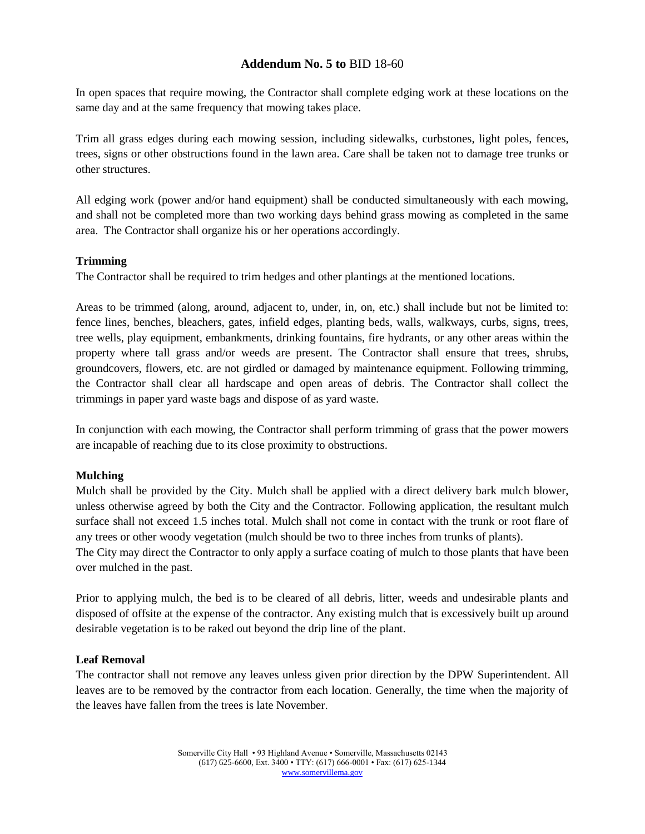In open spaces that require mowing, the Contractor shall complete edging work at these locations on the same day and at the same frequency that mowing takes place.

Trim all grass edges during each mowing session, including sidewalks, curbstones, light poles, fences, trees, signs or other obstructions found in the lawn area. Care shall be taken not to damage tree trunks or other structures.

All edging work (power and/or hand equipment) shall be conducted simultaneously with each mowing, and shall not be completed more than two working days behind grass mowing as completed in the same area. The Contractor shall organize his or her operations accordingly.

#### **Trimming**

The Contractor shall be required to trim hedges and other plantings at the mentioned locations.

Areas to be trimmed (along, around, adjacent to, under, in, on, etc.) shall include but not be limited to: fence lines, benches, bleachers, gates, infield edges, planting beds, walls, walkways, curbs, signs, trees, tree wells, play equipment, embankments, drinking fountains, fire hydrants, or any other areas within the property where tall grass and/or weeds are present. The Contractor shall ensure that trees, shrubs, groundcovers, flowers, etc. are not girdled or damaged by maintenance equipment. Following trimming, the Contractor shall clear all hardscape and open areas of debris. The Contractor shall collect the trimmings in paper yard waste bags and dispose of as yard waste.

In conjunction with each mowing, the Contractor shall perform trimming of grass that the power mowers are incapable of reaching due to its close proximity to obstructions.

#### **Mulching**

Mulch shall be provided by the City. Mulch shall be applied with a direct delivery bark mulch blower, unless otherwise agreed by both the City and the Contractor. Following application, the resultant mulch surface shall not exceed 1.5 inches total. Mulch shall not come in contact with the trunk or root flare of any trees or other woody vegetation (mulch should be two to three inches from trunks of plants).

The City may direct the Contractor to only apply a surface coating of mulch to those plants that have been over mulched in the past.

Prior to applying mulch, the bed is to be cleared of all debris, litter, weeds and undesirable plants and disposed of offsite at the expense of the contractor. Any existing mulch that is excessively built up around desirable vegetation is to be raked out beyond the drip line of the plant.

#### **Leaf Removal**

The contractor shall not remove any leaves unless given prior direction by the DPW Superintendent. All leaves are to be removed by the contractor from each location. Generally, the time when the majority of the leaves have fallen from the trees is late November.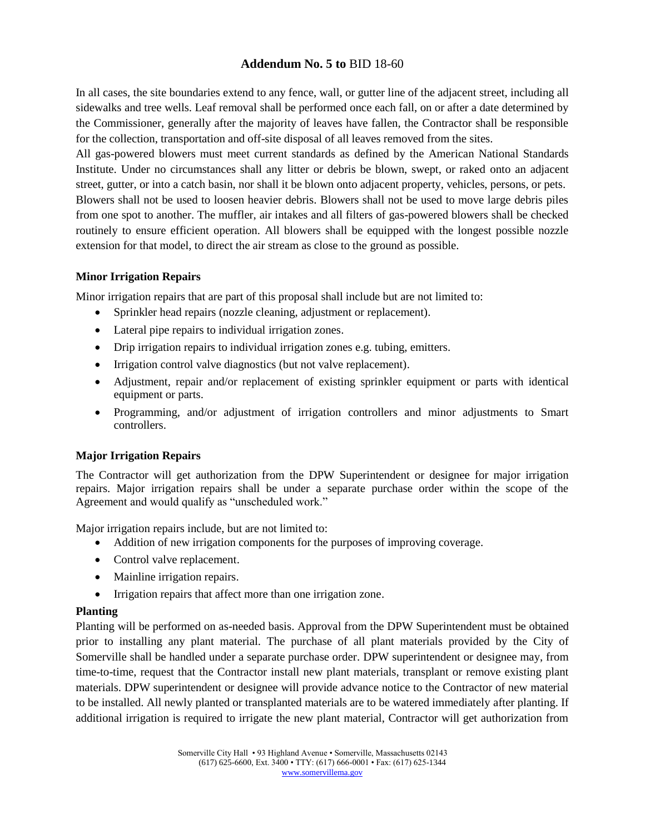In all cases, the site boundaries extend to any fence, wall, or gutter line of the adjacent street, including all sidewalks and tree wells. Leaf removal shall be performed once each fall, on or after a date determined by the Commissioner, generally after the majority of leaves have fallen, the Contractor shall be responsible for the collection, transportation and off-site disposal of all leaves removed from the sites.

All gas-powered blowers must meet current standards as defined by the American National Standards Institute. Under no circumstances shall any litter or debris be blown, swept, or raked onto an adjacent street, gutter, or into a catch basin, nor shall it be blown onto adjacent property, vehicles, persons, or pets. Blowers shall not be used to loosen heavier debris. Blowers shall not be used to move large debris piles from one spot to another. The muffler, air intakes and all filters of gas-powered blowers shall be checked routinely to ensure efficient operation. All blowers shall be equipped with the longest possible nozzle extension for that model, to direct the air stream as close to the ground as possible.

#### **Minor Irrigation Repairs**

Minor irrigation repairs that are part of this proposal shall include but are not limited to:

- Sprinkler head repairs (nozzle cleaning, adjustment or replacement).
- Lateral pipe repairs to individual irrigation zones.
- Drip irrigation repairs to individual irrigation zones e.g. tubing, emitters.
- Irrigation control valve diagnostics (but not valve replacement).
- Adjustment, repair and/or replacement of existing sprinkler equipment or parts with identical equipment or parts.
- Programming, and/or adjustment of irrigation controllers and minor adjustments to Smart controllers.

#### **Major Irrigation Repairs**

The Contractor will get authorization from the DPW Superintendent or designee for major irrigation repairs. Major irrigation repairs shall be under a separate purchase order within the scope of the Agreement and would qualify as "unscheduled work."

Major irrigation repairs include, but are not limited to:

- Addition of new irrigation components for the purposes of improving coverage.
- Control valve replacement.
- Mainline irrigation repairs.
- Irrigation repairs that affect more than one irrigation zone.

#### **Planting**

Planting will be performed on as-needed basis. Approval from the DPW Superintendent must be obtained prior to installing any plant material. The purchase of all plant materials provided by the City of Somerville shall be handled under a separate purchase order. DPW superintendent or designee may, from time-to-time, request that the Contractor install new plant materials, transplant or remove existing plant materials. DPW superintendent or designee will provide advance notice to the Contractor of new material to be installed. All newly planted or transplanted materials are to be watered immediately after planting. If additional irrigation is required to irrigate the new plant material, Contractor will get authorization from